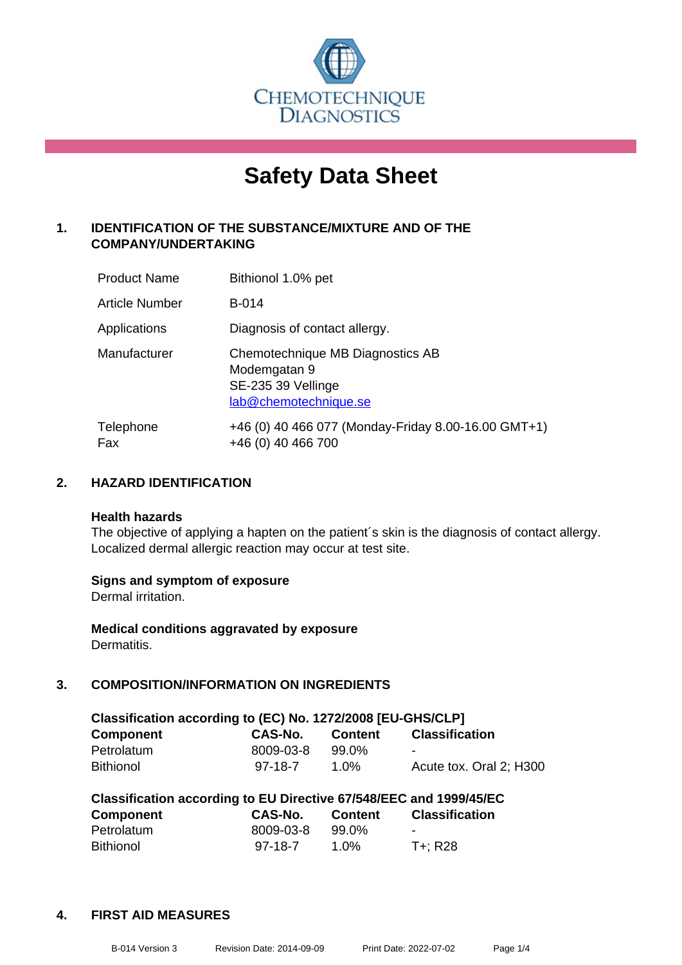

# **Safety Data Sheet**

## **1. IDENTIFICATION OF THE SUBSTANCE/MIXTURE AND OF THE COMPANY/UNDERTAKING**

| <b>Product Name</b>   | Bithionol 1.0% pet                                                                              |
|-----------------------|-------------------------------------------------------------------------------------------------|
| <b>Article Number</b> | <b>B-014</b>                                                                                    |
| Applications          | Diagnosis of contact allergy.                                                                   |
| Manufacturer          | Chemotechnique MB Diagnostics AB<br>Modemgatan 9<br>SE-235 39 Vellinge<br>lab@chemotechnique.se |
| Telephone<br>Fax      | +46 (0) 40 466 077 (Monday-Friday 8.00-16.00 GMT+1)<br>+46 (0) 40 466 700                       |

## **2. HAZARD IDENTIFICATION**

#### **Health hazards**

The objective of applying a hapten on the patient's skin is the diagnosis of contact allergy. Localized dermal allergic reaction may occur at test site.

## **Signs and symptom of exposure**

Dermal irritation.

**Medical conditions aggravated by exposure** Dermatitis.

## **3. COMPOSITION/INFORMATION ON INGREDIENTS**

| Classification according to (EC) No. 1272/2008 [EU-GHS/CLP]        |           |                |                         |  |  |
|--------------------------------------------------------------------|-----------|----------------|-------------------------|--|--|
| <b>Component</b>                                                   | CAS-No.   | <b>Content</b> | <b>Classification</b>   |  |  |
| Petrolatum                                                         | 8009-03-8 | 99.0%          |                         |  |  |
| <b>Bithionol</b>                                                   | $97-18-7$ | 1.0%           | Acute tox. Oral 2; H300 |  |  |
| Classification according to EU Directive 67/548/EEC and 1999/45/EC |           |                |                         |  |  |

| Classification according to EU Directive 677546/EEC and 1999/45/EC |           |         |                       |  |
|--------------------------------------------------------------------|-----------|---------|-----------------------|--|
| <b>Component</b>                                                   | CAS-No.   | Content | <b>Classification</b> |  |
| Petrolatum                                                         | 8009-03-8 | 99.0%   | $\sim$                |  |
| <b>Bithionol</b>                                                   | 97-18-7   | 1.0%    | $T +: R28$            |  |

## **4. FIRST AID MEASURES**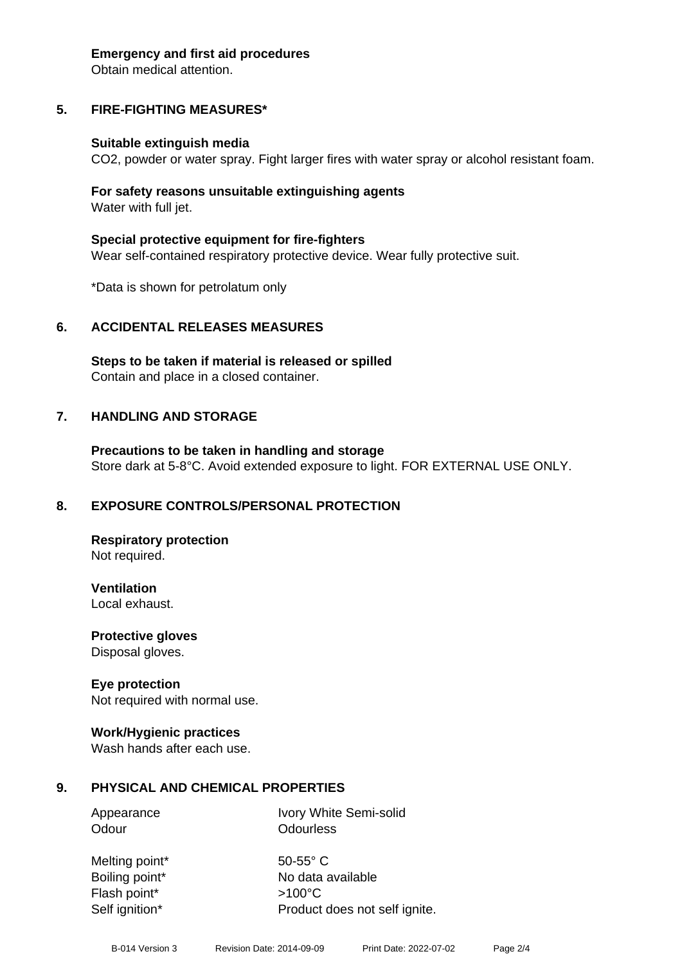#### **Emergency and first aid procedures**

Obtain medical attention.

# **5. FIRE-FIGHTING MEASURES\***

## **Suitable extinguish media**

CO2, powder or water spray. Fight larger fires with water spray or alcohol resistant foam.

## **For safety reasons unsuitable extinguishing agents** Water with full jet.

**Special protective equipment for fire-fighters** Wear self-contained respiratory protective device. Wear fully protective suit.

\*Data is shown for petrolatum only

# **6. ACCIDENTAL RELEASES MEASURES**

**Steps to be taken if material is released or spilled** Contain and place in a closed container.

# **7. HANDLING AND STORAGE**

**Precautions to be taken in handling and storage** Store dark at 5-8°C. Avoid extended exposure to light. FOR EXTERNAL USE ONLY.

# **8. EXPOSURE CONTROLS/PERSONAL PROTECTION**

**Respiratory protection** Not required.

**Ventilation** Local exhaust.

**Protective gloves** Disposal gloves.

## **Eye protection**

Not required with normal use.

## **Work/Hygienic practices**

Wash hands after each use.

# **9. PHYSICAL AND CHEMICAL PROPERTIES**

Appearance Ivory White Semi-solid Odour **Odourless** 

Melting point\* 50-55° C Boiling point\* No data available Flash point\* >100°C Self ignition\* Product does not self ignite.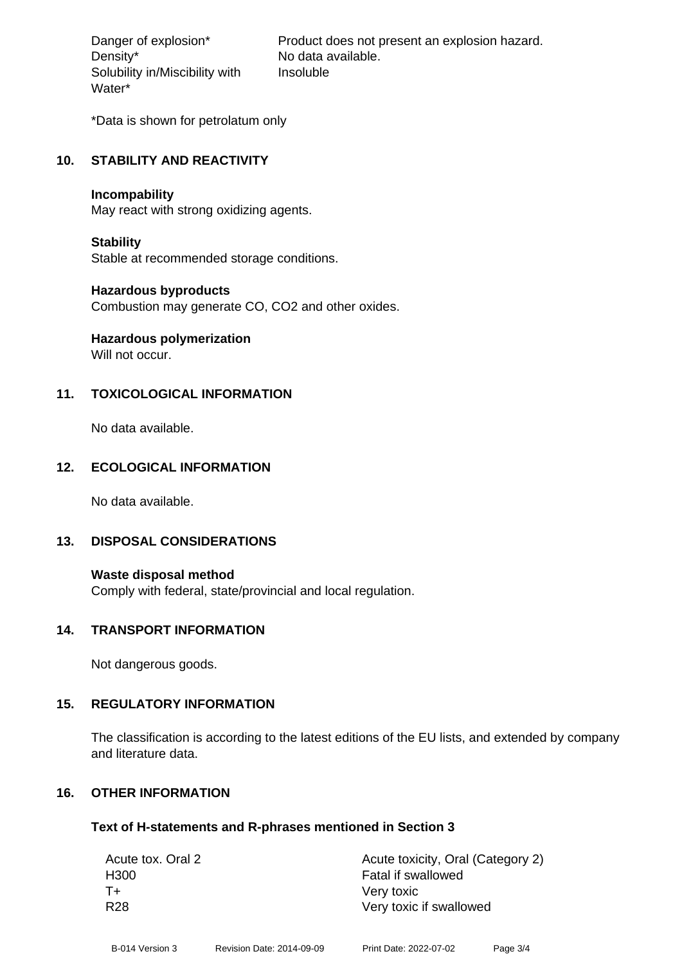Density\* No data available. Solubility in/Miscibility with Water\*

Danger of explosion\* Product does not present an explosion hazard. Insoluble

\*Data is shown for petrolatum only

## **10. STABILITY AND REACTIVITY**

#### **Incompability**

May react with strong oxidizing agents.

## **Stability**

Stable at recommended storage conditions.

## **Hazardous byproducts**

Combustion may generate CO, CO2 and other oxides.

# **Hazardous polymerization**

Will not occur.

## **11. TOXICOLOGICAL INFORMATION**

No data available.

## **12. ECOLOGICAL INFORMATION**

No data available.

## **13. DISPOSAL CONSIDERATIONS**

**Waste disposal method** Comply with federal, state/provincial and local regulation.

## **14. TRANSPORT INFORMATION**

Not dangerous goods.

## **15. REGULATORY INFORMATION**

The classification is according to the latest editions of the EU lists, and extended by company and literature data.

## **16. OTHER INFORMATION**

## **Text of H-statements and R-phrases mentioned in Section 3**

| Acute toxicity, Oral (Category 2) |
|-----------------------------------|
| Fatal if swallowed                |
| Very toxic                        |
| Very toxic if swallowed           |
|                                   |